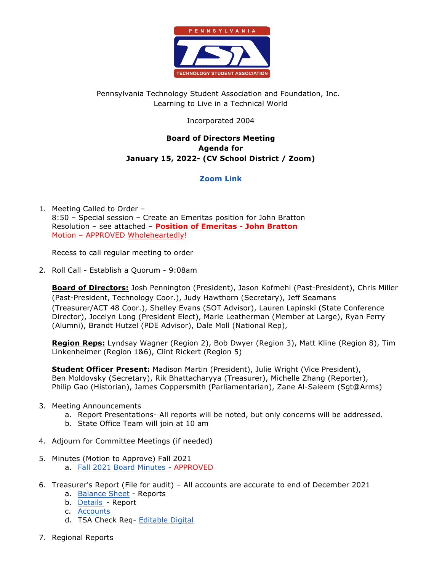

# Pennsylvania Technology Student Association and Foundation, Inc. Learning to Live in a Technical World

## Incorporated 2004

## **Board of Directors Meeting Agenda for January 15, 2022- (CV School District / Zoom)**

# **Zoom Link**

1. Meeting Called to Order – 8:50 – Special session – Create an Emeritas position for John Bratton Resolution – see attached – **Position of Emeritas - John Bratton** Motion – APPROVED Wholeheartedly!

Recess to call regular meeting to order

2. Roll Call - Establish a Quorum - 9:08am

**Board of Directors:** Josh Pennington (President), Jason Kofmehl (Past-President), Chris Miller (Past-President, Technology Coor.), Judy Hawthorn (Secretary), Jeff Seamans (Treasurer/ACT 48 Coor.), Shelley Evans (SOT Advisor), Lauren Lapinski (State Conference Director), Jocelyn Long (President Elect), Marie Leatherman (Member at Large), Ryan Ferry (Alumni), Brandt Hutzel (PDE Advisor), Dale Moll (National Rep),

**Region Reps:** Lyndsay Wagner (Region 2), Bob Dwyer (Region 3), Matt Kline (Region 8), Tim Linkenheimer (Region 1&6), Clint Rickert (Region 5)

**Student Officer Present:** Madison Martin (President), Julie Wright (Vice President), Ben Moldovsky (Secretary), Rik Bhattacharyya (Treasurer), Michelle Zhang (Reporter), Philip Gao (Historian), James Coppersmith (Parliamentarian), Zane Al-Saleem (Sgt@Arms)

- 3. Meeting Announcements
	- a. Report Presentations- All reports will be noted, but only concerns will be addressed.
	- b. State Office Team will join at 10 am
- 4. Adjourn for Committee Meetings (if needed)
- 5. Minutes (Motion to Approve) Fall 2021
	- a. Fall 2021 Board Minutes APPROVED
- 6. Treasurer's Report (File for audit) All accounts are accurate to end of December 2021
	- a. Balance Sheet Reports
	- b. Details Report
	- c. Accounts
	- d. TSA Check Req- Editable Digital
- 7. Regional Reports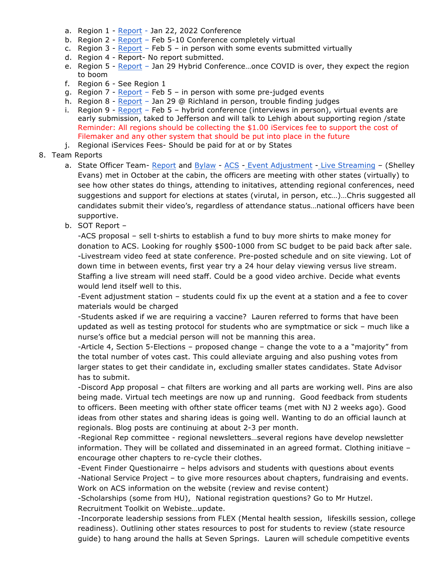- a. Region 1 Report Jan 22, 2022 Conference
- b. Region 2 Report Feb 5-10 Conference completely virtual
- c. Region  $3$  Report Feb  $5$  in person with some events submitted virtually
- d. Region 4 Report- No report submitted.
- e. Region 5 Report Jan 29 Hybrid Conference…once COVID is over, they expect the region to boom
- f. Region 6 See Region 1
- g. Region  $7$  Report Feb  $5$  in person with some pre-judged events
- h. Region 8 Report Jan 29 @ Richland in person, trouble finding judges
- i. Region 9 Report Feb 5 hybrid conference (interviews in person), virtual events are early submission, taked to Jefferson and will talk to Lehigh about supporting region /state Reminder: All regions should be collecting the \$1.00 iServices fee to support the cost of Filemaker and any other system that should be put into place in the future
- j. Regional iServices Fees- Should be paid for at or by States

#### 8. Team Reports

- a. State Officer Team- Report and Bylaw ACS Event Adjustment Live Streaming (Shelley Evans) met in October at the cabin, the officers are meeting with other states (virtually) to see how other states do things, attending to initatives, attending regional conferences, need suggestions and support for elections at states (virutal, in person, etc…)…Chris suggested all candidates submit their video's, regardless of attendance status…national officers have been supportive.
- b. SOT Report –

-ACS proposal – sell t-shirts to establish a fund to buy more shirts to make money for donation to ACS. Looking for roughly \$500-1000 from SC budget to be paid back after sale. -Livestream video feed at state conference. Pre-posted schedule and on site viewing. Lot of down time in between events, first year try a 24 hour delay viewing versus live stream. Staffing a live stream will need staff. Could be a good video archive. Decide what events would lend itself well to this.

-Event adjustment station – students could fix up the event at a station and a fee to cover materials would be charged

-Students asked if we are requiring a vaccine? Lauren referred to forms that have been updated as well as testing protocol for students who are symptmatice or sick – much like a nurse's office but a medcial person will not be manning this area.

-Article 4, Section 5-Elections – proposed change – change the vote to a a "majority" from the total number of votes cast. This could alleviate arguing and also pushing votes from larger states to get their candidate in, excluding smaller states candidates. State Advisor has to submit.

-Discord App proposal – chat filters are working and all parts are working well. Pins are also being made. Virtual tech meetings are now up and running. Good feedback from students to officers. Been meeting with ofther state officer teams (met with NJ 2 weeks ago). Good ideas from other states and sharing ideas is going well. Wanting to do an official launch at regionals. Blog posts are continuing at about 2-3 per month.

-Regional Rep committee - regional newsletters…several regions have develop newsletter information. They will be collated and disseminated in an agreed format. Clothing initiave – encourage other chapters to re-cycle their clothes.

-Event Finder Questionairre – helps advisors and students with questions about events -National Service Project – to give more resources about chapters, fundraising and events. Work on ACS information on the website (review and revise content)

-Scholarships (some from HU), National registration questions? Go to Mr Hutzel. Recruitment Toolkit on Webiste…update.

-Incorporate leadership sessions from FLEX (Mental health session, lifeskills session, college readiness). Outlining other states resources to post for students to review (state resource guide) to hang around the halls at Seven Springs. Lauren will schedule competitive events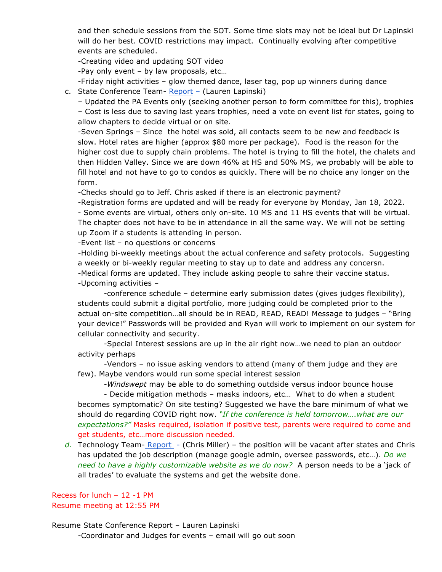and then schedule sessions from the SOT. Some time slots may not be ideal but Dr Lapinski will do her best. COVID restrictions may impact. Continually evolving after competitive events are scheduled.

-Creating video and updating SOT video

-Pay only event – by law proposals, etc…

-Friday night activities – glow themed dance, laser tag, pop up winners during dance c. State Conference Team- Report – (Lauren Lapinski)

– Updated the PA Events only (seeking another person to form committee for this), trophies – Cost is less due to saving last years trophies, need a vote on event list for states, going to allow chapters to decide virtual or on site.

-Seven Springs – Since the hotel was sold, all contacts seem to be new and feedback is slow. Hotel rates are higher (approx \$80 more per package). Food is the reason for the higher cost due to supply chain problems. The hotel is trying to fill the hotel, the chalets and then Hidden Valley. Since we are down 46% at HS and 50% MS, we probably will be able to fill hotel and not have to go to condos as quickly. There will be no choice any longer on the form.

-Checks should go to Jeff. Chris asked if there is an electronic payment?

-Registration forms are updated and will be ready for everyone by Monday, Jan 18, 2022. - Some events are virtual, others only on-site. 10 MS and 11 HS events that will be virtual. The chapter does not have to be in attendance in all the same way. We will not be setting up Zoom if a students is attending in person.

-Event list – no questions or concerns

-Holding bi-weekly meetings about the actual conference and safety protocols. Suggesting a weekly or bi-weekly regular meeting to stay up to date and address any concersn. -Medical forms are updated. They include asking people to sahre their vaccine status. -Upcoming activities –

-conference schedule – determine early submission dates (gives judges flexibility), students could submit a digital portfolio, more judging could be completed prior to the actual on-site competition…all should be in READ, READ, READ! Message to judges – "Bring your device!" Passwords will be provided and Ryan will work to implement on our system for cellular connectivity and security.

-Special Interest sessions are up in the air right now…we need to plan an outdoor activity perhaps

-Vendors – no issue asking vendors to attend (many of them judge and they are few). Maybe vendors would run some special interest session

-*Windswept* may be able to do something outdside versus indoor bounce house

- Decide mitigation methods – masks indoors, etc… What to do when a student becomes symptomatic? On site testing? Suggested we have the bare minimum of what we should do regarding COVID right now. *"If the conference is held tomorrow….what are our expectations?"* Masks required, isolation if positive test, parents were required to come and get students, etc…more discussion needed.

d. Technology Team- Report - (Chris Miller) – the position will be vacant after states and Chris has updated the job description (manage google admin, oversee passwords, etc…). *Do we need to have a highly customizable website as we do now?* A person needs to be a 'jack of all trades' to evaluate the systems and get the website done.

Recess for lunch – 12 -1 PM Resume meeting at 12:55 PM

Resume State Conference Report – Lauren Lapinski

-Coordinator and Judges for events – email will go out soon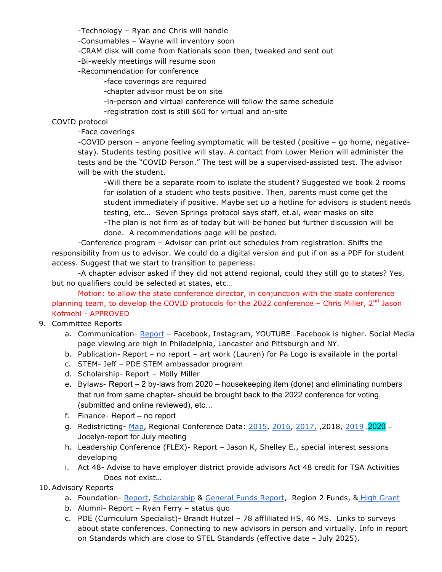-Technology – Ryan and Chris will handle

-Consumables – Wayne will inventory soon

-CRAM disk will come from Nationals soon then, tweaked and sent out

-Bi-weekly meetings will resume soon

-Recommendation for conference

-face coverings are required

-chapter advisor must be on site

-in-person and virtual conference will follow the same schedule

-registration cost is still \$60 for virtual and on-site

### COVID protocol

-Face coverings

-COVID person – anyone feeling symptomatic will be tested (positive – go home, negativestay). Students testing positive will stay. A contact from Lower Merion will administer the tests and be the "COVID Person." The test will be a supervised-assisted test. The advisor will be with the student.

-Will there be a separate room to isolate the student? Suggested we book 2 rooms for isolation of a student who tests positive. Then, parents must come get the student immediately if positive. Maybe set up a hotline for advisors is student needs testing, etc… Seven Springs protocol says staff, et.al, wear masks on site -The plan is not firm as of today but will be honed but further discussion will be done. A recommendations page will be posted.

-Conference program – Advisor can print out schedules from registration. Shifts the responsibility from us to advisor. We could do a digital version and put if on as a PDF for student access. Suggest that we start to transition to paperless.

-A chapter advisor asked if they did not attend regional, could they still go to states? Yes, but no qualifiers could be selected at states, etc…

Motion: to allow the state conference director, in conjunction with the state conference planning team, to develop the COVID protocols for the 2022 conference - Chris Miller, 2<sup>nd</sup> Jason Kofmehl - APPROVED

## 9. Committee Reports

- a. Communication- Report Facebook, Instagram, YOUTUBE...Facebook is higher. Social Media page viewing are high in Philadelphia, Lancaster and Pittsburgh and NY.
- b. Publication- Report no report art work (Lauren) for Pa Logo is available in the portal
- c. STEM- Jeff PDE STEM ambassador program
- d. Scholarship- Report Molly Miller
- e. Bylaws- Report 2 by-laws from 2020 housekeeping item (done) and eliminating numbers that run from same chapter- should be brought back to the 2022 conference for voting, (submitted and online reviewed), etc…
- f. Finance- Report no report
- g. Redistricting- Map, Regional Conference Data: 2015, 2016, 2017, ,2018, 2019 ,2020 Jocelyn-report for July meeting
- h. Leadership Conference (FLEX)- Report Jason K, Shelley E., special interest sessions developing
- i. Act 48- Advise to have employer district provide advisors Act 48 credit for TSA Activities Does not exist…

## 10. Advisory Reports

- a. Foundation- Report, Scholarship & General Funds Report, Region 2 Funds, & High Grant
- b. Alumni- Report Ryan Ferry status quo
- c. PDE (Curriculum Specialist)- Brandt Hutzel 78 affliliated HS, 46 MS. Links to surveys about state conferences. Connecting to new advisors in person and virtually. Info in report on Standards which are close to STEL Standards (effective date – July 2025).